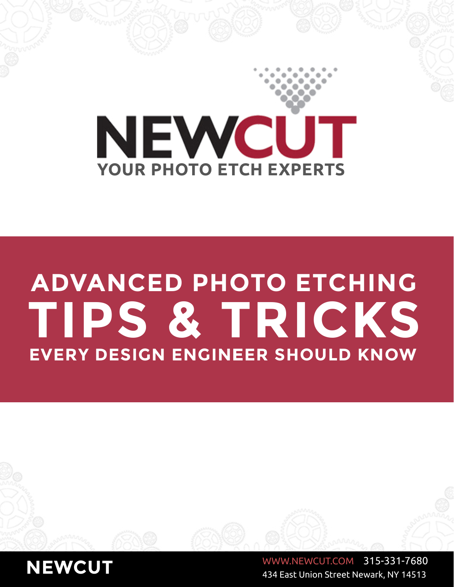

# **ADVANCED PHOTO ETCHING TIPS & TRICKS EVERY DESIGN ENGINEER SHOULD KNOW**

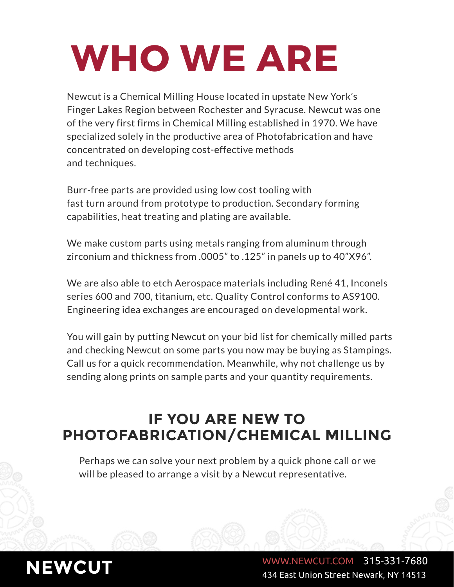# **WHO WE ARE**

Newcut is a Chemical Milling House located in upstate New York's Finger Lakes Region between Rochester and Syracuse. Newcut was one of the very first firms in Chemical Milling established in 1970. We have specialized solely in the productive area of Photofabrication and have concentrated on developing cost-effective methods and techniques.

Burr-free parts are provided using low cost tooling with fast turn around from prototype to production. Secondary forming capabilities, heat treating and plating are available.

We make custom parts using metals ranging from aluminum through zirconium and thickness from .0005" to .125" in panels up to 40"X96".

We are also able to etch Aerospace materials including René 41, Inconels series 600 and 700, titanium, etc. Quality Control conforms to AS9100. Engineering idea exchanges are encouraged on developmental work.

You will gain by putting Newcut on your bid list for chemically milled parts and checking Newcut on some parts you now may be buying as Stampings. Call us for a quick recommendation. Meanwhile, why not challenge us by sending along prints on sample parts and your quantity requirements.

# **IF YOU ARE NEW TO PHOTOFABRICATION/CHEMICAL MILLING**

Perhaps we can solve your next problem by a quick phone call or we will be pleased to arrange a visit by a Newcut representative.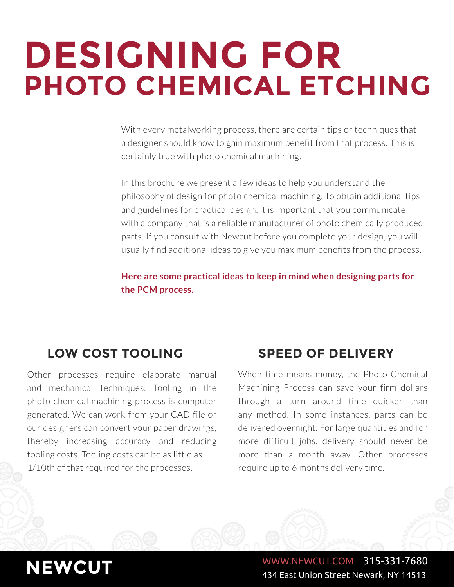# **DESIGNING FOR PHOTO CHEMICAL ETCHING**

With every metalworking process, there are certain tips or techniques that a designer should know to gain maximum benefit from that process. This is certainly true with photo chemical machining.

In this brochure we present a few ideas to help you understand the philosophy of design for photo chemical machining. To obtain additional tips and guidelines for practical design, it is important that you communicate with a company that is a reliable manufacturer of photo chemically produced parts. If you consult with Newcut before you complete your design, you will usually find additional ideas to give you maximum benefits from the process.

**Here are some practical ideas to keep in mind when designing parts for the PCM process.**

# **LOW COST TOOLING SPEED OF DELIVERY**

Other processes require elaborate manual and mechanical techniques. Tooling in the photo chemical machining process is computer generated. We can work from your CAD file or our designers can convert your paper drawings, thereby increasing accuracy and reducing tooling costs. Tooling costs can be as little as 1/10th of that required for the processes.

When time means money, the Photo Chemical Machining Process can save your firm dollars through a turn around time quicker than any method. In some instances, parts can be delivered overnight. For large quantities and for more difficult jobs, delivery should never be more than a month away. Other processes require up to 6 months delivery time.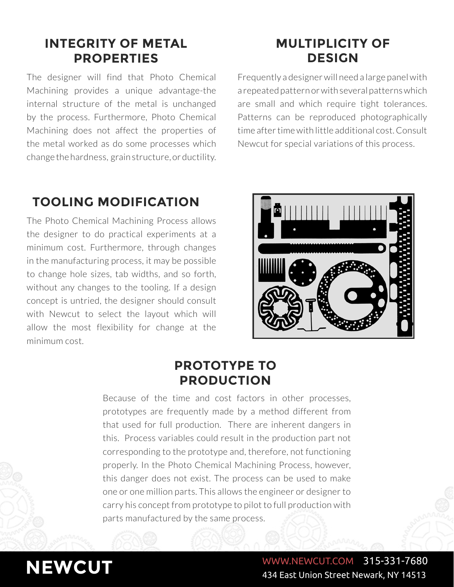# **INTEGRITY OF METAL PROPERTIES**

The designer will find that Photo Chemical Machining provides a unique advantage-the internal structure of the metal is unchanged by the process. Furthermore, Photo Chemical Machining does not affect the properties of the metal worked as do some processes which change the hardness, grain structure, or ductility.

# **MULTIPLICITY OF DESIGN**

Frequently a designer will need a large panel with a repeated pattern or with several patterns which are small and which require tight tolerances. Patterns can be reproduced photographically time after time with little additional cost. Consult Newcut for special variations of this process.

# **TOOLING MODIFICATION**

The Photo Chemical Machining Process allows the designer to do practical experiments at a minimum cost. Furthermore, through changes in the manufacturing process, it may be possible to change hole sizes, tab widths, and so forth, without any changes to the tooling. If a design concept is untried, the designer should consult with Newcut to select the layout which will allow the most flexibility for change at the minimum cost.



# **PROTOTYPE TO PRODUCTION**

Because of the time and cost factors in other processes, prototypes are frequently made by a method different from that used for full production. There are inherent dangers in this. Process variables could result in the production part not corresponding to the prototype and, therefore, not functioning properly. In the Photo Chemical Machining Process, however, this danger does not exist. The process can be used to make one or one million parts. This allows the engineer or designer to carry his concept from prototype to pilot to full production with parts manufactured by the same process.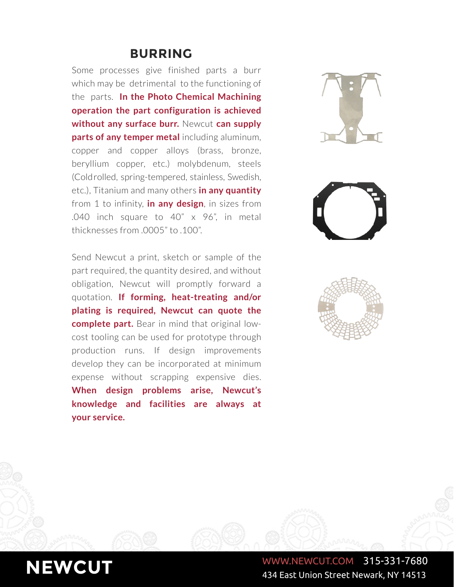## **BURRING**

Some processes give finished parts a burr which may be detrimental to the functioning of the parts. **In the Photo Chemical Machining operation the part configuration is achieved without any surface burr.** Newcut **can supply parts of any temper metal** including aluminum, copper and copper alloys (brass, bronze, beryllium copper, etc.) molybdenum, steels (Cold rolled, spring-tempered, stainless, Swedish, etc.), Titanium and many others **in any quantity**  from 1 to infinity, **in any design**, in sizes from .040 inch square to 40" x 96", in metal thicknesses from .0005" to .100".

Send Newcut a print, sketch or sample of the part required, the quantity desired, and without obligation, Newcut will promptly forward a quotation. **If forming, heat-treating and/or plating is required, Newcut can quote the complete part.** Bear in mind that original lowcost tooling can be used for prototype through production runs. If design improvements develop they can be incorporated at minimum expense without scrapping expensive dies. **When design problems arise, Newcut's knowledge and facilities are always at your service.**





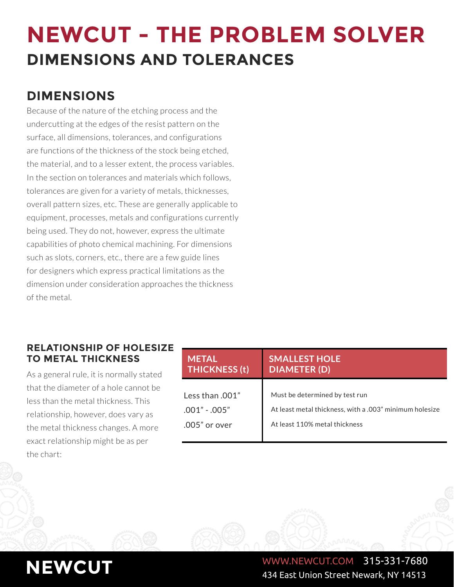# **NEWCUT - THE PROBLEM SOLVER DIMENSIONS AND TOLERANCES**

# **DIMENSIONS**

Because of the nature of the etching process and the undercutting at the edges of the resist pattern on the surface, all dimensions, tolerances, and configurations are functions of the thickness of the stock being etched, the material, and to a lesser extent, the process variables. In the section on tolerances and materials which follows, tolerances are given for a variety of metals, thicknesses, overall pattern sizes, etc. These are generally applicable to equipment, processes, metals and configurations currently being used. They do not, however, express the ultimate capabilities of photo chemical machining. For dimensions such as slots, corners, etc., there are a few guide lines for designers which express practical limitations as the dimension under consideration approaches the thickness of the metal.

### **RELATIONSHIP OF HOLESIZE TO METAL THICKNESS**

As a general rule, it is normally stated that the diameter of a hole cannot be less than the metal thickness. This relationship, however, does vary as the metal thickness changes. A more exact relationship might be as per the chart:

| METAL<br><b>THICKNESS (t)</b> | <b>SMALLEST HOLE</b><br><b>DIAMETER (D)</b>             |  |  |
|-------------------------------|---------------------------------------------------------|--|--|
|                               |                                                         |  |  |
| Less than $.001"$             | Must be determined by test run                          |  |  |
| $.001" - .005"$               | At least metal thickness, with a .003" minimum holesize |  |  |
| $.005"$ or over               | At least 110% metal thickness                           |  |  |
|                               |                                                         |  |  |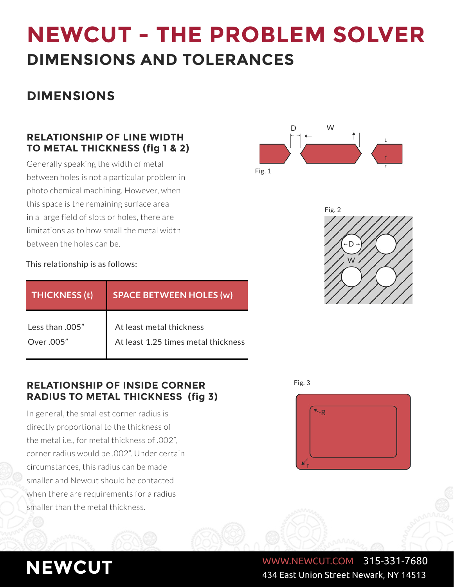# **NEWCUT - THE PROBLEM SOLVER DIMENSIONS AND TOLERANCES**

# **DIMENSIONS**

## **RELATIONSHIP OF LINE WIDTH TO METAL THICKNESS (fig 1 & 2)**

Generally speaking the width of metal between holes is not a particular problem in photo chemical machining. However, when this space is the remaining surface area in a large field of slots or holes, there are limitations as to how small the metal width between the holes can be.





#### This relationship is as follows:

| <b>THICKNESS (t)</b> | <b>SPACE BETWEEN HOLES (w)</b>      |  |  |  |
|----------------------|-------------------------------------|--|--|--|
| Less than .005"      | At least metal thickness            |  |  |  |
| Over .005"           | At least 1.25 times metal thickness |  |  |  |

### **RELATIONSHIP OF INSIDE CORNER RADIUS TO METAL THICKNESS (fig 3)**

In general, the smallest corner radius is directly proportional to the thickness of the metal i.e., for metal thickness of .002", corner radius would be .002". Under certain circumstances, this radius can be made smaller and Newcut should be contacted when there are requirements for a radius smaller than the metal thickness.

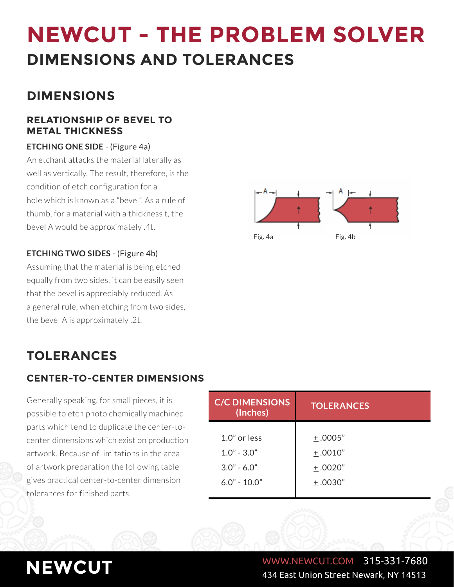# **NEWCUT - THE PROBLEM SOLVER DIMENSIONS AND TOLERANCES**

# **DIMENSIONS**

### **RELATIONSHIP OF BEVEL TO METAL THICKNESS**

#### **ETCHING ONE SIDE** - (Figure 4a)

An etchant attacks the material laterally as well as vertically. The result, therefore, is the condition of etch configuration for a hole which is known as a "bevel". As a rule of thumb, for a material with a thickness t, the bevel A would be approximately .4t.

### **ETCHING TWO SIDES** - (Figure 4b)

Assuming that the material is being etched equally from two sides, it can be easily seen that the bevel is appreciably reduced. As a general rule, when etching from two sides, the bevel A is approximately .2t.



# **TOLERANCES**

## **CENTER-TO-CENTER DIMENSIONS**

Generally speaking, for small pieces, it is possible to etch photo chemically machined parts which tend to duplicate the center-tocenter dimensions which exist on production artwork. Because of limitations in the area of artwork preparation the following table gives practical center-to-center dimension tolerances for finished parts.

| <b>C/C DIMENSIONS</b><br>(Inches) | <b>TOLERANCES</b> |  |  |  |
|-----------------------------------|-------------------|--|--|--|
| $1.0"$ or less                    | ±.0005"           |  |  |  |
| $1.0" - 3.0"$                     | $+.0010"$         |  |  |  |
| $3.0" - 6.0"$                     | $+.0020"$         |  |  |  |
| $6.0" - 10.0"$                    | ±.0030"           |  |  |  |
|                                   |                   |  |  |  |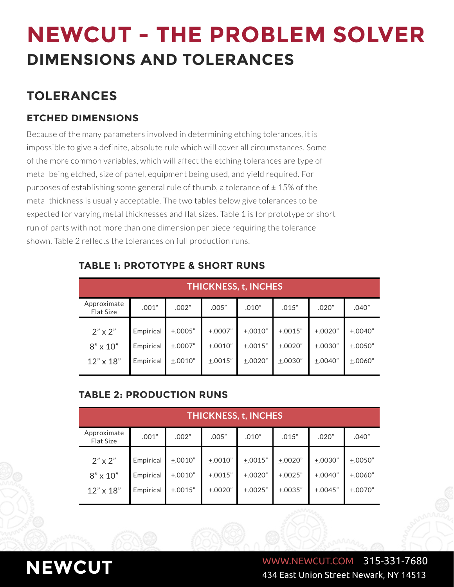# **TOLERANCES**

## **ETCHED DIMENSIONS**

Because of the many parameters involved in determining etching tolerances, it is impossible to give a definite, absolute rule which will cover all circumstances. Some of the more common variables, which will affect the etching tolerances are type of metal being etched, size of panel, equipment being used, and yield required. For purposes of establishing some general rule of thumb, a tolerance of  $\pm$  15% of the metal thickness is usually acceptable. The two tables below give tolerances to be expected for varying metal thicknesses and flat sizes. Table 1 is for prototype or short run of parts with not more than one dimension per piece requiring the tolerance shown. Table 2 reflects the tolerances on full production runs.

| <b>THICKNESS, t, INCHES</b>                           |                                     |                                     |                                 |                                 |                                 |                                 |                                   |
|-------------------------------------------------------|-------------------------------------|-------------------------------------|---------------------------------|---------------------------------|---------------------------------|---------------------------------|-----------------------------------|
| Approximate<br><b>Flat Size</b>                       | .001"                               | .002"                               | .005"                           | .010"                           | .015"                           | .020"                           | .040"                             |
| $2" \times 2"$<br>$8" \times 10"$<br>$12" \times 18"$ | Empirical<br>Empirical<br>Empirical | $+.0005"$<br>$+.0007"$<br>$+.0010"$ | ±.0007"<br>$+.0010"$<br>±.0015" | ±.0010"<br>±.0015"<br>$+.0020"$ | ±.0015"<br>$+.0020"$<br>±.0030" | ±.0020"<br>$+.0030"$<br>±.0040" | $+.0040"$<br>$+.0050"$<br>±.0060" |

### **TABLE 1: PROTOTYPE & SHORT RUNS**

## **TABLE 2: PRODUCTION RUNS**

| <b>THICKNESS, t, INCHES</b>                           |                                     |                               |                               |                                 |                                 |                                     |                                 |
|-------------------------------------------------------|-------------------------------------|-------------------------------|-------------------------------|---------------------------------|---------------------------------|-------------------------------------|---------------------------------|
| Approximate<br><b>Flat Size</b>                       | .001"                               | .002"                         | .005"                         | .010"                           | .015"                           | .020"                               | .040"                           |
| $2" \times 2"$<br>$8" \times 10"$<br>$12" \times 18"$ | Empirical<br>Empirical<br>Empirical | ±.0010"<br>±.0010"<br>±.0015" | ±.0010"<br>±.0015"<br>±.0020" | ±.0015"<br>±.0020"<br>$+.0025"$ | ±.0020"<br>±.0025"<br>$+.0035"$ | $+.0030"$<br>$+.0040"$<br>$+.0045"$ | $+.0050"$<br>±.0060"<br>±.0070" |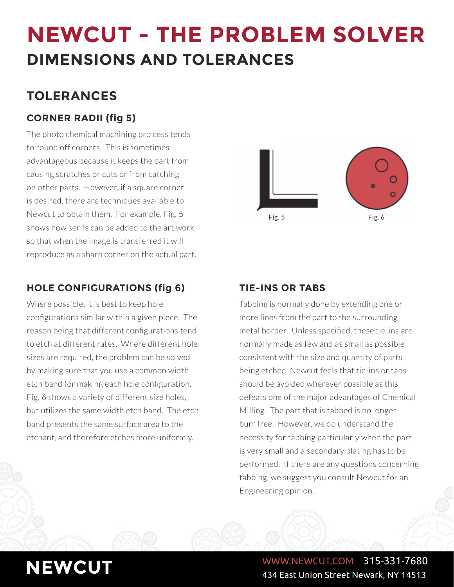# **TOLERANCES**

## **CORNER RADII (fig 5)**

The photo chemical machining pro cess tends to round off corners. This is sometimes advantageous because it keeps the part from causing scratches or cuts or from catching on other parts. However, if a square corner is desired, there are techniques available to Newcut to obtain them. For example, Fig. 5 shows how serifs can be added to the art work so that when the image is transferred it will reproduce as a sharp corner on the actual part.

## **HOLE CONFIGURATIONS (fig 6) TIE-INS OR TABS**

Where possible, it is best to keep hole configurations similar within a given piece. The reason being that different configurations tend to etch at different rates. Where different hole sizes are required, the problem can be solved by making sure that you use a common width etch band for making each hole configuration. Fig. 6 shows a variety of different size holes, but utilizes the same width etch band. The etch band presents the same surface area to the etchant, and therefore etches more uniformly.



Tabbing is normally done by extending one or more lines from the part to the surrounding metal border. Unless specified, these tie-ins are normally made as few and as small as possible consistent with the size and quantity of parts being etched. Newcut feels that tie-ins or tabs should be avoided wherever possible as this defeats one of the major advantages of Chemical Milling. The part that is tabbed is no longer burr free. However, we do understand the necessity for tabbing particularly when the part is very small and a secondary plating has to be performed. If there are any questions concerning tabbing, we suggest you consult Newcut for an Engineering opinion.

# **NEWCUT** WWW.NEWCUT.COM 315-331-7680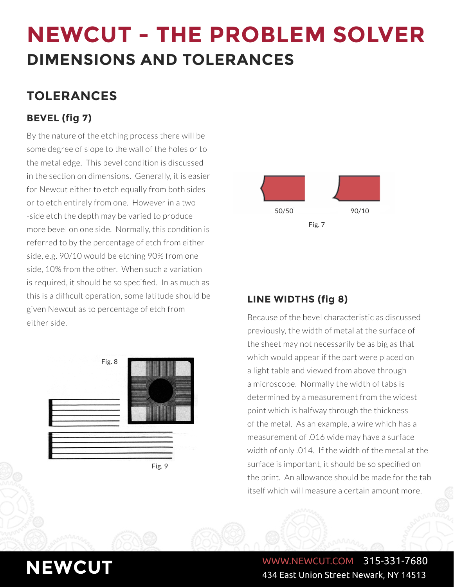# **TOLERANCES**

# **BEVEL (fig 7)**

By the nature of the etching process there will be some degree of slope to the wall of the holes or to the metal edge. This bevel condition is discussed in the section on dimensions. Generally, it is easier for Newcut either to etch equally from both sides or to etch entirely from one. However in a two -side etch the depth may be varied to produce more bevel on one side. Normally, this condition is referred to by the percentage of etch from either side, e.g. 90/10 would be etching 90% from one side, 10% from the other. When such a variation is required, it should be so specified. In as much as this is a difficult operation, some latitude should be given Newcut as to percentage of etch from  $\overline{\phantom{a}}$  either side.



Fig. 9



## **LINE WIDTHS (fig 8)**

previously, the width of metal at the surface of the sheet may not necessarily be as big as that which would appear if the part were placed on a light table and viewed from above through a microscope. Normally the width of tabs is determined by a measurement from the widest point which is halfway through the thickness of the metal. As an example, a wire which has a measurement of .016 wide may have a surface width of only .014. If the width of the metal at the surface is important, it should be so specified on the print. An allowance should be made for the tab itself which will measure a certain amount more.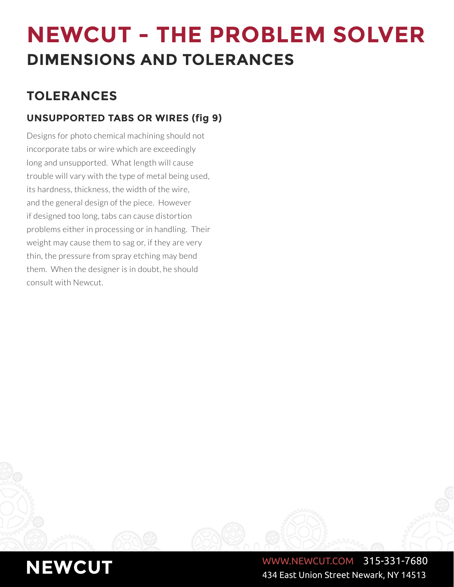# **TOLERANCES**

# **UNSUPPORTED TABS OR WIRES (fig 9)**

Designs for photo chemical machining should not incorporate tabs or wire which are exceedingly long and unsupported. What length will cause trouble will vary with the type of metal being used, its hardness, thickness, the width of the wire, and the general design of the piece. However if designed too long, tabs can cause distortion problems either in processing or in handling. Their weight may cause them to sag or, if they are very thin, the pressure from spray etching may bend them. When the designer is in doubt, he should consult with Newcut.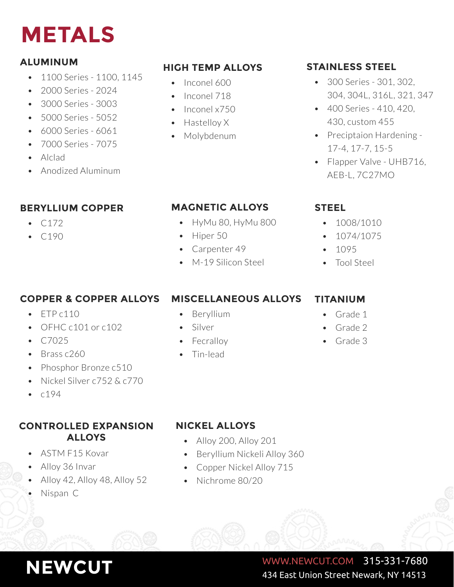# **METALS**

## **ALUMINUM**

- 1100 Series 1100, 1145
- 2000 Series 2024
- 3000 Series 3003
- 5000 Series 5052
- 6000 Series 6061
- 7000 Series 7075
- Alclad
- Anodized Aluminum

## **BERYLLIUM COPPER**

- $C172$
- C190

# **HIGH TEMP ALLOYS STAINLESS STEEL**

- Inconel 600
- Inconel 718
- Inconel x750
- Hastelloy X
- Molybdenum

- 300 Series 301, 302, 304, 304L, 316L, 321, 347
- 400 Series 410, 420, 430, custom 455
- Preciptaion Hardening 17-4, 17-7, 15-5
- Flapper Valve UHB716, AEB-L, 7C27MO

## **MAGNETIC ALLOYS**

- HyMu 80, HyMu 800
- Hiper 50
- Carpenter 49
- M-19 Silicon Steel

## **COPPER & COPPER ALLOYS**

- $\cdot$  ETP c110
- OFHC c101 or c102
- $C7025$
- Brass c260
- Phosphor Bronze c510
- Nickel Silver c752 & c770
- $0194$

### **CONTROLLED EXPANSION NICKEL ALLOYS ALLOYS**

- ASTM F15 Kovar
- Alloy 36 Invar
- Alloy 42, Alloy 48, Alloy 52
- Nispan C

# **MISCELLANEOUS ALLOYS**

- Beryllium
- Silver
- Tin-lead

## **STEEL**

- 1008/1010
- 1074/1075
- 1095
- Tool Steel

## **TITANIUM**

- Grade 1
- Grade 2
- Grade 3

- Alloy 200, Alloy 201
- Beryllium Nickeli Alloy 360
- Copper Nickel Alloy 715
- Nichrome 80/20

## **NEWCUT** WWW.NEWCUT.COM 315-331-7680 434 East Union Street Newark, NY 14513

# • Fecralloy